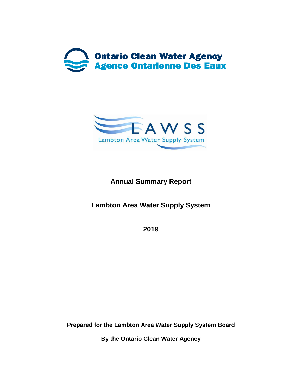



# **Annual Summary Report**

**Lambton Area Water Supply System**

**2019**

**Prepared for the Lambton Area Water Supply System Board**

**By the Ontario Clean Water Agency**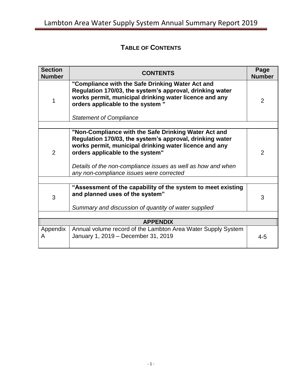# **TABLE OF CONTENTS**

| <b>Section</b><br><b>Number</b> | <b>CONTENTS</b>                                                                                                                                                                                                                                                                                                            |                |  |  |
|---------------------------------|----------------------------------------------------------------------------------------------------------------------------------------------------------------------------------------------------------------------------------------------------------------------------------------------------------------------------|----------------|--|--|
| 1                               | "Compliance with the Safe Drinking Water Act and<br>Regulation 170/03, the system's approval, drinking water<br>works permit, municipal drinking water licence and any<br>orders applicable to the system "<br><b>Statement of Compliance</b>                                                                              | 2              |  |  |
|                                 |                                                                                                                                                                                                                                                                                                                            |                |  |  |
| $\overline{2}$                  | "Non-Compliance with the Safe Drinking Water Act and<br>Regulation 170/03, the system's approval, drinking water<br>works permit, municipal drinking water licence and any<br>orders applicable to the system"<br>Details of the non-compliance issues as well as how and when<br>any non-compliance issues were corrected | $\overline{2}$ |  |  |
|                                 |                                                                                                                                                                                                                                                                                                                            |                |  |  |
| 3                               | "Assessment of the capability of the system to meet existing<br>and planned uses of the system"<br>Summary and discussion of quantity of water supplied                                                                                                                                                                    | 3              |  |  |
|                                 |                                                                                                                                                                                                                                                                                                                            |                |  |  |
|                                 | <b>APPENDIX</b>                                                                                                                                                                                                                                                                                                            |                |  |  |
| Appendix<br>A                   | Annual volume record of the Lambton Area Water Supply System<br>January 1, 2019 - December 31, 2019                                                                                                                                                                                                                        | $4 - 5$        |  |  |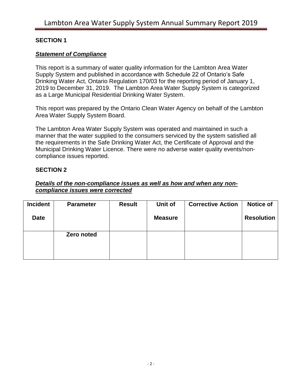### **SECTION 1**

### *Statement of Compliance*

This report is a summary of water quality information for the Lambton Area Water Supply System and published in accordance with Schedule 22 of Ontario's Safe Drinking Water Act, Ontario Regulation 170/03 for the reporting period of January 1, 2019 to December 31, 2019. The Lambton Area Water Supply System is categorized as a Large Municipal Residential Drinking Water System.

This report was prepared by the Ontario Clean Water Agency on behalf of the Lambton Area Water Supply System Board.

The Lambton Area Water Supply System was operated and maintained in such a manner that the water supplied to the consumers serviced by the system satisfied all the requirements in the Safe Drinking Water Act, the Certificate of Approval and the Municipal Drinking Water Licence. There were no adverse water quality events/noncompliance issues reported.

#### **SECTION 2**

#### *Details of the non-compliance issues as well as how and when any noncompliance issues were corrected*

| <b>Incident</b> | <b>Parameter</b> | <b>Result</b> | Unit of        | <b>Corrective Action</b> | <b>Notice of</b>  |
|-----------------|------------------|---------------|----------------|--------------------------|-------------------|
| <b>Date</b>     |                  |               | <b>Measure</b> |                          | <b>Resolution</b> |
|                 |                  |               |                |                          |                   |
|                 | Zero noted       |               |                |                          |                   |
|                 |                  |               |                |                          |                   |
|                 |                  |               |                |                          |                   |
|                 |                  |               |                |                          |                   |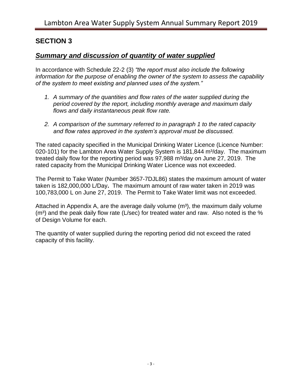### **SECTION 3**

### *Summary and discussion of quantity of water supplied*

In accordance with Schedule 22-2 (3) *"the report must also include the following information for the purpose of enabling the owner of the system to assess the capability of the system to meet existing and planned uses of the system."*

- *1. A summary of the quantities and flow rates of the water supplied during the period covered by the report, including monthly average and maximum daily flows and daily instantaneous peak flow rate.*
- *2. A comparison of the summary referred to in paragraph 1 to the rated capacity and flow rates approved in the system's approval must be discussed.*

The rated capacity specified in the Municipal Drinking Water Licence (Licence Number: 020-101) for the Lambton Area Water Supply System is 181,844 m<sup>3</sup>/day. The maximum treated daily flow for the reporting period was 97,988 m<sup>3</sup>/day on June 27, 2019. The rated capacity from the Municipal Drinking Water Licence was not exceeded.

The Permit to Take Water (Number 3657-7DJL86) states the maximum amount of water taken is 182,000,000 L/Day**.** The maximum amount of raw water taken in 2019 was 100,783,000 L on June 27, 2019. The Permit to Take Water limit was not exceeded.

Attached in Appendix A, are the average daily volume  $(m<sup>3</sup>)$ , the maximum daily volume  $(m<sup>3</sup>)$  and the peak daily flow rate (L/sec) for treated water and raw. Also noted is the % of Design Volume for each.

The quantity of water supplied during the reporting period did not exceed the rated capacity of this facility.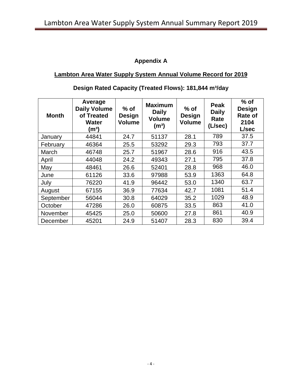### **Appendix A**

### **Lambton Area Water Supply System Annual Volume Record for 2019**

| <b>Month</b> | Average<br><b>Daily Volume</b><br>of Treated<br><b>Water</b><br>(m3) | $%$ of<br><b>Design</b><br><b>Volume</b> | <b>Maximum</b><br><b>Daily</b><br><b>Volume</b><br>(m <sup>3</sup> ) | $%$ of<br><b>Design</b><br><b>Volume</b> | <b>Peak</b><br><b>Daily</b><br>Rate<br>(L/sec) | $%$ of<br><b>Design</b><br><b>Rate of</b><br>2104<br>L/sec |
|--------------|----------------------------------------------------------------------|------------------------------------------|----------------------------------------------------------------------|------------------------------------------|------------------------------------------------|------------------------------------------------------------|
| January      | 44841                                                                | 24.7                                     | 51137                                                                | 28.1                                     | 789                                            | 37.5                                                       |
| February     | 46364                                                                | 25.5                                     | 53292                                                                | 29.3                                     | 793                                            | 37.7                                                       |
| March        | 46748                                                                | 25.7                                     | 51967                                                                | 28.6                                     | 916                                            | 43.5                                                       |
| April        | 44048                                                                | 24.2                                     | 49343                                                                | 27.1                                     | 795                                            | 37.8                                                       |
| May          | 48461                                                                | 26.6                                     | 52401                                                                | 28.8                                     | 968                                            | 46.0                                                       |
| June         | 61126                                                                | 33.6                                     | 97988                                                                | 53.9                                     | 1363                                           | 64.8                                                       |
| July         | 76220                                                                | 41.9                                     | 96442                                                                | 53.0                                     | 1340                                           | 63.7                                                       |
| August       | 67155                                                                | 36.9                                     | 77634                                                                | 42.7                                     | 1081                                           | 51.4                                                       |
| September    | 56044                                                                | 30.8                                     | 64029                                                                | 35.2                                     | 1029                                           | 48.9                                                       |
| October      | 47286                                                                | 26.0                                     | 60875                                                                | 33.5                                     | 863                                            | 41.0                                                       |
| November     | 45425                                                                | 25.0                                     | 50600                                                                | 27.8                                     | 861                                            | 40.9                                                       |
| December     | 45201                                                                | 24.9                                     | 51407                                                                | 28.3                                     | 830                                            | 39.4                                                       |

### **Design Rated Capacity (Treated Flows): 181,844 m³/day**